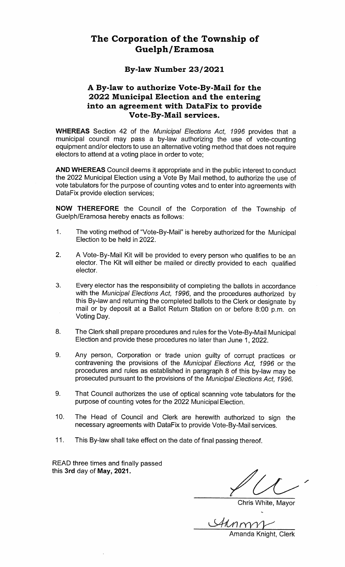#### The Corporation of the Township of Guelph/Eramosa Guelphia Guelphia (Eramosa Guelphia Guelphia Guelphia Guelphia Guelphia Guelphia Guelphia Guelphia Guelphia Gu

### By—law Number 23/2021

# A By-law to authorize Vote-By-Mail for the 2022 Municipal Election and the Election and the Election and the Election and the Election into an agreement with DataFix to Vote—By—Mail services.

whereas section 42 of the Municipal Election  $\mu$  and  $\mu$  and  $\mu$  is the  $\mu$  provides that municipal council authorizing the use of use of use of use of use of use of use of use of use of use of use of may pass by—law vote —counting pass by—law vote —counting pass by—counting pass by—counting pass by—counting p equipment and/or electors to use an alternative voting method that does not electors to attend at voting place in order to vote;

AND WHEREAS Council deems it appropriate and in the public interest to conduct the <sup>2022</sup> Municipal Election using Vote By Mail method, to authorize the use of vote tabulators for the purpose of counting votes and to enter into agreements with DataFix provide election services;

NOW THEREFORE the Council of the Corporation of the Township of Guelph/Eramosa hereby enacts as follows:

- 1. The voting method of is hereby authorized for the  $\blacksquare$  voted by  $\blacksquare$ Election to be held in 2022.
- 2. Vote—By—Mail Kit will be provided to every person who qualifies to be an elector. The Kit will either be mailed or directly provided to each elector.
- 3. Every elector has the responsibility of completing the ballots in accordance with the Municipal Elections  $\mathcal{L}(\mathbf{r},t)$  is the procedure and the procedures authorized by the state of the state of the state of the state of the state of the state of the state of the state of the this By—law and returning the set of the set of the set of the set of the set of the set of the set of the set complete ballots to the Clerk or designate by mail or by deposit at Ballot Return Station on or before 8:00 p.m. on Voting Day.
- The Clerk shall prepare procedures and rules for the Municipal Election and provide these procedures no later than June 1, 2022.
- 9. Any person, Corporation or trade union guilty of corrupt products and the corrupt products of the corresponding to the corresponding to the corresponding to the corresponding to the corresponding to the corresponding to the corresponding to the corresponding to the corre contravel in provisions of the Municipal Elections Act, 1996 or the procedures and rules as established in paragraph of this may be provisions of the provisions of the Municipal Elections and Elections Act, 1996.
- $9<sub>1</sub>$ That Council authorizes the use of optical scanning vote tabulators for the purpose of counting votes for the <sup>2022</sup> Municipal Election.
- 10. The Head of Council and Clerk are herewith authorized to sign the necessary agreements with DataFix to Vote—By—Mail services.
- 11.  $T_{\rm eff}$  and the shall take effect on the date of final passing thereof.

read three times and the times are the second times and the second second times are the second times and the s finally passed this 3rd day of May, 2021, 2021.

Club and the club of the club of the club of the club of the club of the club of the club of the club of the c

**Chris White, Mavor** 

Amanda Knight, Clerk